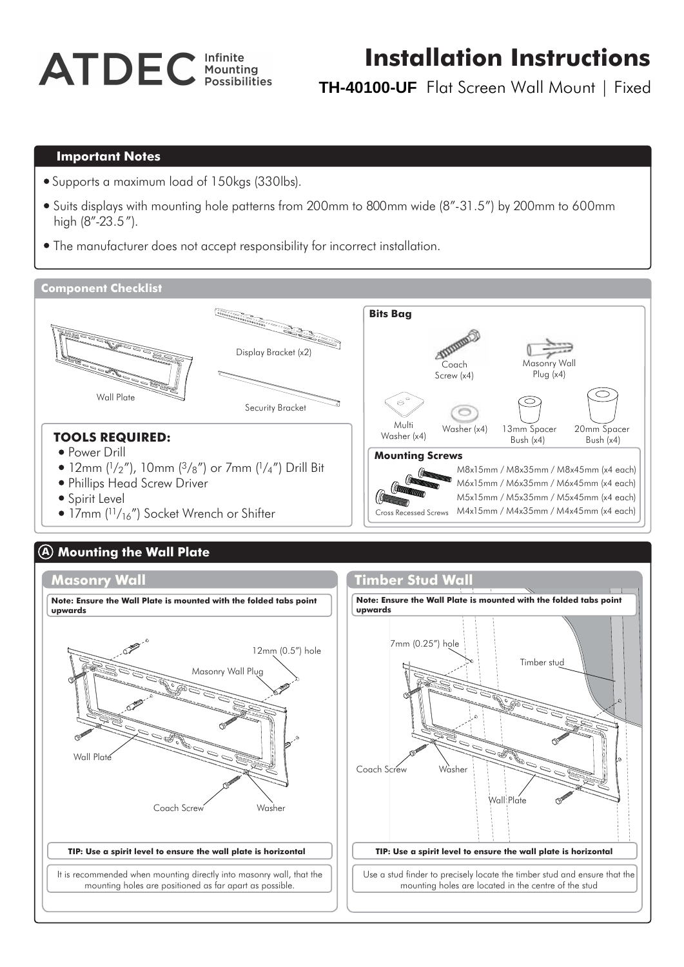# **ATDEC** Infinite

# **Installation Instructions**

M6x15mm / M6x35mm / M6x45mm (x4 each) M5x15mm / M5x35mm / M5x45mm (x4 each)

Cross Recessed Screws M4x15mm / M4x35mm / M4x45mm (x4 each)

**TH-40100-UF** Flat Screen Wall Mount | Fixed

#### **Important Notes**

- Supports a maximum load of 150kgs (330lbs).
- Suits displays with mounting hole patterns from 200mm to 800mm wide (8"-31.5") by 200mm to 600mm high (8"-23.5").
- The manufacturer does not accept responsibility for incorrect installation.

#### **Component Checklist**



- 12mm (1/2"), 10mm (3/<sub>8</sub>") or 7mm (1/<sub>4</sub>") Drill Bit
- Phillips Head Screw Driver
- Spirit Level
- $\bullet$  17mm ( $\frac{11}{16}$ ") Socket Wrench or Shifter

# **A Mounting the Wall Plate**